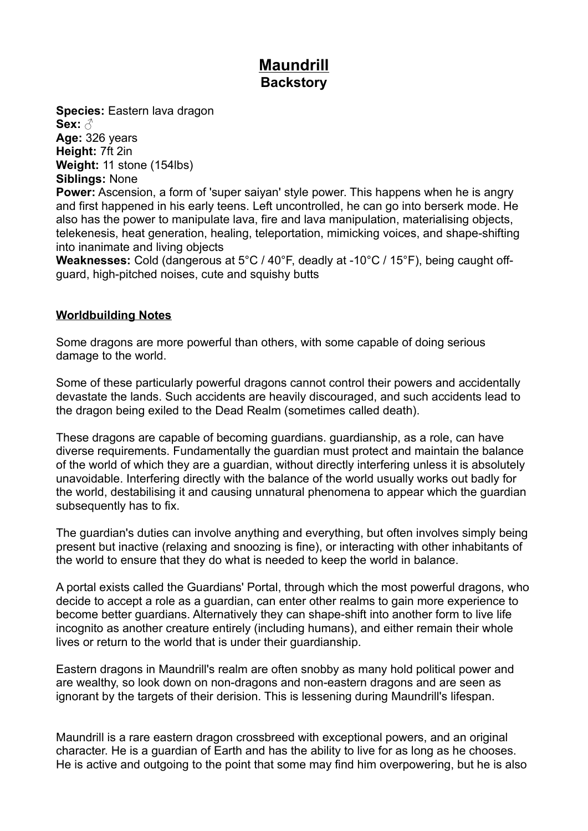# **Maundrill Backstory**

**Species:** Eastern lava dragon **Sex:** ♂ **Age:** 326 years **Height:** 7ft 2in **Weight:** 11 stone (154lbs) **Siblings:** None

**Power:** Ascension, a form of 'super saiyan' style power. This happens when he is angry and first happened in his early teens. Left uncontrolled, he can go into berserk mode. He also has the power to manipulate lava, fire and lava manipulation, materialising objects, telekenesis, heat generation, healing, teleportation, mimicking voices, and shape-shifting into inanimate and living objects

**Weaknesses:** Cold (dangerous at 5°C / 40°F, deadly at -10°C / 15°F), being caught offguard, high-pitched noises, cute and squishy butts

# **Worldbuilding Notes**

Some dragons are more powerful than others, with some capable of doing serious damage to the world.

Some of these particularly powerful dragons cannot control their powers and accidentally devastate the lands. Such accidents are heavily discouraged, and such accidents lead to the dragon being exiled to the Dead Realm (sometimes called death).

These dragons are capable of becoming guardians. guardianship, as a role, can have diverse requirements. Fundamentally the guardian must protect and maintain the balance of the world of which they are a guardian, without directly interfering unless it is absolutely unavoidable. Interfering directly with the balance of the world usually works out badly for the world, destabilising it and causing unnatural phenomena to appear which the guardian subsequently has to fix.

The guardian's duties can involve anything and everything, but often involves simply being present but inactive (relaxing and snoozing is fine), or interacting with other inhabitants of the world to ensure that they do what is needed to keep the world in balance.

A portal exists called the Guardians' Portal, through which the most powerful dragons, who decide to accept a role as a guardian, can enter other realms to gain more experience to become better guardians. Alternatively they can shape-shift into another form to live life incognito as another creature entirely (including humans), and either remain their whole lives or return to the world that is under their guardianship.

Eastern dragons in Maundrill's realm are often snobby as many hold political power and are wealthy, so look down on non-dragons and non-eastern dragons and are seen as ignorant by the targets of their derision. This is lessening during Maundrill's lifespan.

Maundrill is a rare eastern dragon crossbreed with exceptional powers, and an original character. He is a guardian of Earth and has the ability to live for as long as he chooses. He is active and outgoing to the point that some may find him overpowering, but he is also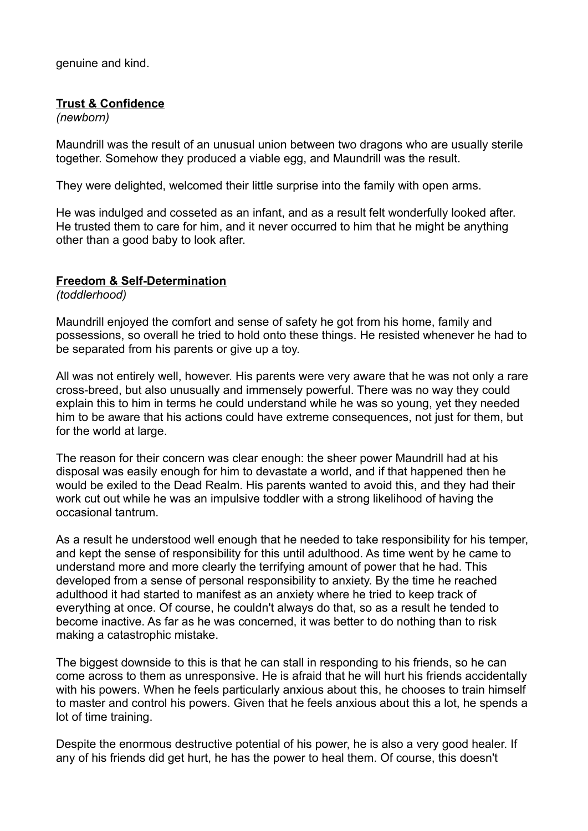genuine and kind.

## **Trust & Confidence**

*(newborn)*

Maundrill was the result of an unusual union between two dragons who are usually sterile together. Somehow they produced a viable egg, and Maundrill was the result.

They were delighted, welcomed their little surprise into the family with open arms.

He was indulged and cosseted as an infant, and as a result felt wonderfully looked after. He trusted them to care for him, and it never occurred to him that he might be anything other than a good baby to look after.

# **Freedom & Self-Determination**

*(toddlerhood)*

Maundrill enjoyed the comfort and sense of safety he got from his home, family and possessions, so overall he tried to hold onto these things. He resisted whenever he had to be separated from his parents or give up a toy.

All was not entirely well, however. His parents were very aware that he was not only a rare cross-breed, but also unusually and immensely powerful. There was no way they could explain this to him in terms he could understand while he was so young, yet they needed him to be aware that his actions could have extreme consequences, not just for them, but for the world at large.

The reason for their concern was clear enough: the sheer power Maundrill had at his disposal was easily enough for him to devastate a world, and if that happened then he would be exiled to the Dead Realm. His parents wanted to avoid this, and they had their work cut out while he was an impulsive toddler with a strong likelihood of having the occasional tantrum.

As a result he understood well enough that he needed to take responsibility for his temper, and kept the sense of responsibility for this until adulthood. As time went by he came to understand more and more clearly the terrifying amount of power that he had. This developed from a sense of personal responsibility to anxiety. By the time he reached adulthood it had started to manifest as an anxiety where he tried to keep track of everything at once. Of course, he couldn't always do that, so as a result he tended to become inactive. As far as he was concerned, it was better to do nothing than to risk making a catastrophic mistake.

The biggest downside to this is that he can stall in responding to his friends, so he can come across to them as unresponsive. He is afraid that he will hurt his friends accidentally with his powers. When he feels particularly anxious about this, he chooses to train himself to master and control his powers. Given that he feels anxious about this a lot, he spends a lot of time training.

Despite the enormous destructive potential of his power, he is also a very good healer. If any of his friends did get hurt, he has the power to heal them. Of course, this doesn't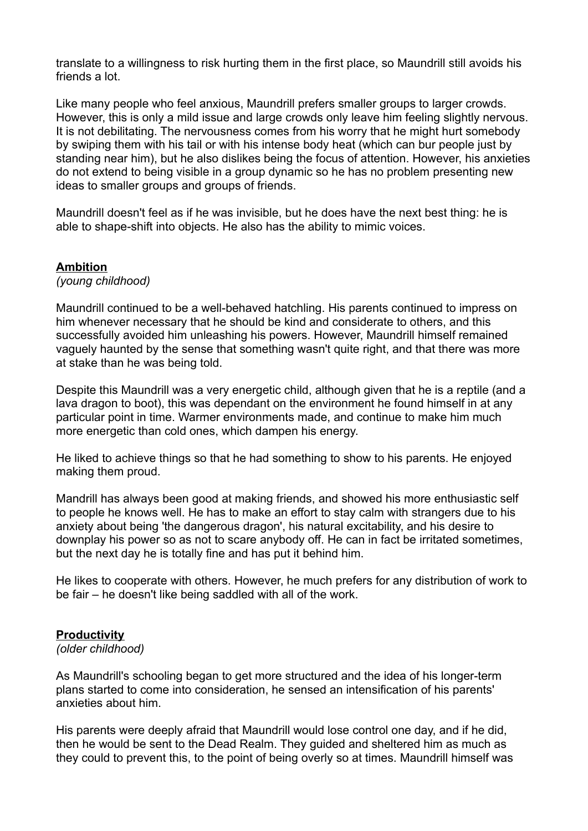translate to a willingness to risk hurting them in the first place, so Maundrill still avoids his friends a lot.

Like many people who feel anxious, Maundrill prefers smaller groups to larger crowds. However, this is only a mild issue and large crowds only leave him feeling slightly nervous. It is not debilitating. The nervousness comes from his worry that he might hurt somebody by swiping them with his tail or with his intense body heat (which can bur people just by standing near him), but he also dislikes being the focus of attention. However, his anxieties do not extend to being visible in a group dynamic so he has no problem presenting new ideas to smaller groups and groups of friends.

Maundrill doesn't feel as if he was invisible, but he does have the next best thing: he is able to shape-shift into objects. He also has the ability to mimic voices.

## **Ambition**

*(young childhood)*

Maundrill continued to be a well-behaved hatchling. His parents continued to impress on him whenever necessary that he should be kind and considerate to others, and this successfully avoided him unleashing his powers. However, Maundrill himself remained vaguely haunted by the sense that something wasn't quite right, and that there was more at stake than he was being told.

Despite this Maundrill was a very energetic child, although given that he is a reptile (and a lava dragon to boot), this was dependant on the environment he found himself in at any particular point in time. Warmer environments made, and continue to make him much more energetic than cold ones, which dampen his energy.

He liked to achieve things so that he had something to show to his parents. He enjoyed making them proud.

Mandrill has always been good at making friends, and showed his more enthusiastic self to people he knows well. He has to make an effort to stay calm with strangers due to his anxiety about being 'the dangerous dragon', his natural excitability, and his desire to downplay his power so as not to scare anybody off. He can in fact be irritated sometimes, but the next day he is totally fine and has put it behind him.

He likes to cooperate with others. However, he much prefers for any distribution of work to be fair – he doesn't like being saddled with all of the work.

# **Productivity**

#### *(older childhood)*

As Maundrill's schooling began to get more structured and the idea of his longer-term plans started to come into consideration, he sensed an intensification of his parents' anxieties about him.

His parents were deeply afraid that Maundrill would lose control one day, and if he did, then he would be sent to the Dead Realm. They guided and sheltered him as much as they could to prevent this, to the point of being overly so at times. Maundrill himself was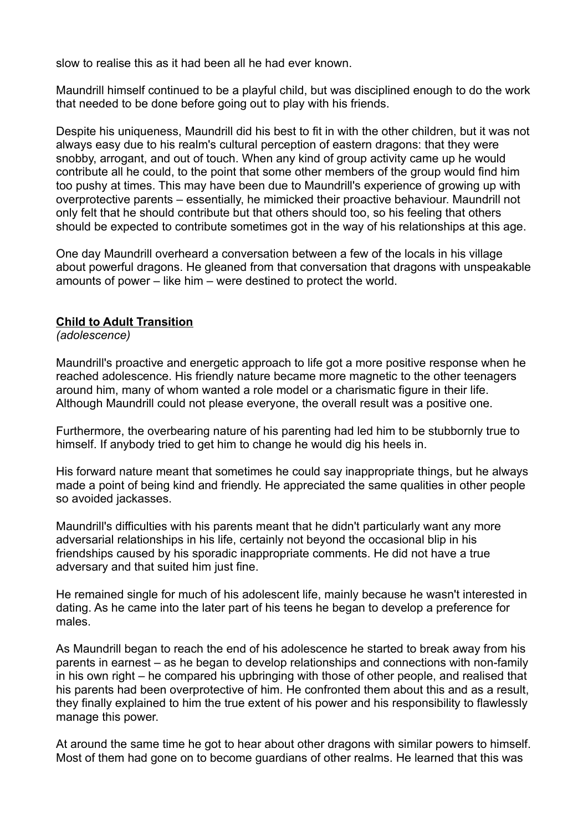slow to realise this as it had been all he had ever known.

Maundrill himself continued to be a playful child, but was disciplined enough to do the work that needed to be done before going out to play with his friends.

Despite his uniqueness, Maundrill did his best to fit in with the other children, but it was not always easy due to his realm's cultural perception of eastern dragons: that they were snobby, arrogant, and out of touch. When any kind of group activity came up he would contribute all he could, to the point that some other members of the group would find him too pushy at times. This may have been due to Maundrill's experience of growing up with overprotective parents – essentially, he mimicked their proactive behaviour. Maundrill not only felt that he should contribute but that others should too, so his feeling that others should be expected to contribute sometimes got in the way of his relationships at this age.

One day Maundrill overheard a conversation between a few of the locals in his village about powerful dragons. He gleaned from that conversation that dragons with unspeakable amounts of power – like him – were destined to protect the world.

## **Child to Adult Transition**

*(adolescence)*

Maundrill's proactive and energetic approach to life got a more positive response when he reached adolescence. His friendly nature became more magnetic to the other teenagers around him, many of whom wanted a role model or a charismatic figure in their life. Although Maundrill could not please everyone, the overall result was a positive one.

Furthermore, the overbearing nature of his parenting had led him to be stubbornly true to himself. If anybody tried to get him to change he would dig his heels in.

His forward nature meant that sometimes he could say inappropriate things, but he always made a point of being kind and friendly. He appreciated the same qualities in other people so avoided jackasses.

Maundrill's difficulties with his parents meant that he didn't particularly want any more adversarial relationships in his life, certainly not beyond the occasional blip in his friendships caused by his sporadic inappropriate comments. He did not have a true adversary and that suited him just fine.

He remained single for much of his adolescent life, mainly because he wasn't interested in dating. As he came into the later part of his teens he began to develop a preference for males.

As Maundrill began to reach the end of his adolescence he started to break away from his parents in earnest – as he began to develop relationships and connections with non-family in his own right – he compared his upbringing with those of other people, and realised that his parents had been overprotective of him. He confronted them about this and as a result, they finally explained to him the true extent of his power and his responsibility to flawlessly manage this power.

At around the same time he got to hear about other dragons with similar powers to himself. Most of them had gone on to become guardians of other realms. He learned that this was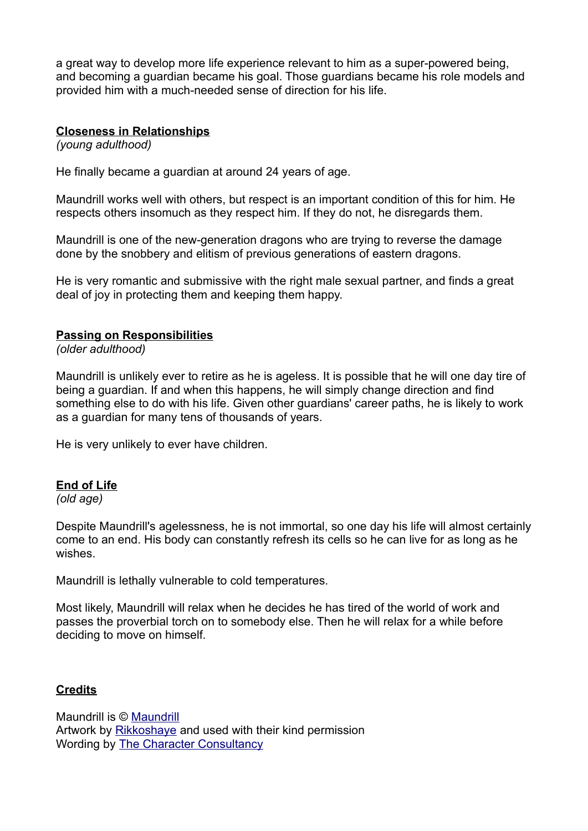a great way to develop more life experience relevant to him as a super-powered being, and becoming a guardian became his goal. Those guardians became his role models and provided him with a much-needed sense of direction for his life.

## **Closeness in Relationships**

*(young adulthood)*

He finally became a guardian at around 24 years of age.

Maundrill works well with others, but respect is an important condition of this for him. He respects others insomuch as they respect him. If they do not, he disregards them.

Maundrill is one of the new-generation dragons who are trying to reverse the damage done by the snobbery and elitism of previous generations of eastern dragons.

He is very romantic and submissive with the right male sexual partner, and finds a great deal of joy in protecting them and keeping them happy.

## **Passing on Responsibilities**

*(older adulthood)*

Maundrill is unlikely ever to retire as he is ageless. It is possible that he will one day tire of being a guardian. If and when this happens, he will simply change direction and find something else to do with his life. Given other guardians' career paths, he is likely to work as a guardian for many tens of thousands of years.

He is very unlikely to ever have children.

## **End of Life**

*(old age)*

Despite Maundrill's agelessness, he is not immortal, so one day his life will almost certainly come to an end. His body can constantly refresh its cells so he can live for as long as he wishes.

Maundrill is lethally vulnerable to cold temperatures.

Most likely, Maundrill will relax when he decides he has tired of the world of work and passes the proverbial torch on to somebody else. Then he will relax for a while before deciding to move on himself.

## **Credits**

Maundrill is © [Maundrill](https://www.furaffinity.net/user/maundrill) Artwork by [Rikkoshaye](https://www.deviantart.com/rikkoshaye) and used with their kind permission Wording by [The Character Consultancy](http://www.thecharacterconsultancy.com/)